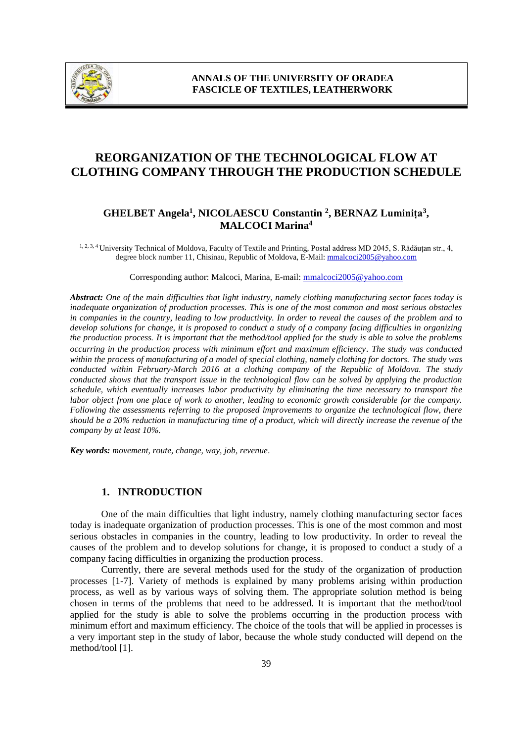

# **REORGANIZATION OF THE TECHNOLOGICAL FLOW AT CLOTHING COMPANY THROUGH THE PRODUCTION SCHEDULE**

# **GHELBET Angela<sup>1</sup> , NICOLAESCU Constantin <sup>2</sup> , BERNAZ Luminița<sup>3</sup> , MALCOCI Marina<sup>4</sup>**

1, 2, 3, 4 University Technical of Moldova, Faculty of Textile and Printing, Postal address MD 2045, S. Rădăuțan str., 4, degree block number 11, Chisinau, Republic of Moldova, E-Mail: mmalcoci2005@yahoo.com

Corresponding author: Malcoci, Marina, E-mail: mmalcoci2005@yahoo.com

*Abstract: One of the main difficulties that light industry, namely clothing manufacturing sector faces today is inadequate organization of production processes. This is one of the most common and most serious obstacles in companies in the country, leading to low productivity. In order to reveal the causes of the problem and to develop solutions for change, it is proposed to conduct a study of a company facing difficulties in organizing the production process. It is important that the method/tool applied for the study is able to solve the problems occurring in the production process with minimum effort and maximum efficiency*. *The study was conducted within the process of manufacturing of a model of special clothing, namely clothing for doctors. The study was conducted within February-March 2016 at a clothing company of the Republic of Moldova. The study conducted shows that the transport issue in the technological flow can be solved by applying the production schedule, which eventually increases labor productivity by eliminating the time necessary to transport the labor object from one place of work to another, leading to economic growth considerable for the company. Following the assessments referring to the proposed improvements to organize the technological flow, there should be a 20% reduction in manufacturing time of a product, which will directly increase the revenue of the company by at least 10%.*

*Key words: movement, route, change, way, job, revenue.*

#### **1. INTRODUCTION**

One of the main difficulties that light industry, namely clothing manufacturing sector faces today is inadequate organization of production processes. This is one of the most common and most serious obstacles in companies in the country, leading to low productivity. In order to reveal the causes of the problem and to develop solutions for change, it is proposed to conduct a study of a company facing difficulties in organizing the production process.

Currently, there are several methods used for the study of the organization of production processes [1-7]. Variety of methods is explained by many problems arising within production process, as well as by various ways of solving them. The appropriate solution method is being chosen in terms of the problems that need to be addressed. It is important that the method/tool applied for the study is able to solve the problems occurring in the production process with minimum effort and maximum efficiency. The choice of the tools that will be applied in processes is a very important step in the study of labor, because the whole study conducted will depend on the method/tool [1].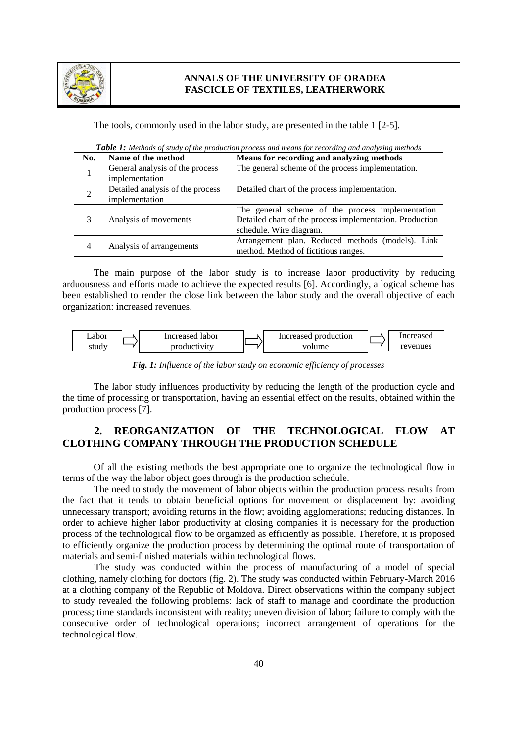

#### **ANNALS OF THE UNIVERSITY OF ORADEA FASCICLE OF TEXTILES, LEATHERWORK**

The tools, commonly used in the labor study, are presented in the table 1 [2-5].

| No.            | Name of the method                                 | Means for recording and analyzing methods                                                                                                |
|----------------|----------------------------------------------------|------------------------------------------------------------------------------------------------------------------------------------------|
| 1              | General analysis of the process<br>implementation  | The general scheme of the process implementation.                                                                                        |
| $\overline{2}$ | Detailed analysis of the process<br>implementation | Detailed chart of the process implementation.                                                                                            |
| 3              | Analysis of movements                              | The general scheme of the process implementation.<br>Detailed chart of the process implementation. Production<br>schedule. Wire diagram. |
| $\overline{4}$ | Analysis of arrangements                           | Arrangement plan. Reduced methods (models). Link<br>method. Method of fictitious ranges.                                                 |

*Table 1: Methods of study of the production process and means for recording and analyzing methods*

The main purpose of the labor study is to increase labor productivity by reducing arduousness and efforts made to achieve the expected results [6]. Accordingly, a logical scheme has been established to render the close link between the labor study and the overall objective of each organization: increased revenues.



*Fig. 1: Influence of the labor study on economic efficiency of processes*

The labor study influences productivity by reducing the length of the production cycle and the time of processing or transportation, having an essential effect on the results, obtained within the production process [7].

# **2. REORGANIZATION OF THE TECHNOLOGICAL FLOW AT CLOTHING COMPANY THROUGH THE PRODUCTION SCHEDULE**

Of all the existing methods the best appropriate one to organize the technological flow in terms of the way the labor object goes through is the production schedule.

The need to study the movement of labor objects within the production process results from the fact that it tends to obtain beneficial options for movement or displacement by: avoiding unnecessary transport; avoiding returns in the flow; avoiding agglomerations; reducing distances. In order to achieve higher labor productivity at closing companies it is necessary for the production process of the technological flow to be organized as efficiently as possible. Therefore, it is proposed to efficiently organize the production process by determining the optimal route of transportation of materials and semi-finished materials within technological flows.

The study was conducted within the process of manufacturing of a model of special clothing, namely clothing for doctors (fig. 2). The study was conducted within February-March 2016 at a clothing company of the Republic of Moldova. Direct observations within the company subject to study revealed the following problems: lack of staff to manage and coordinate the production process; time standards inconsistent with reality; uneven division of labor; failure to comply with the consecutive order of technological operations; incorrect arrangement of operations for the technological flow.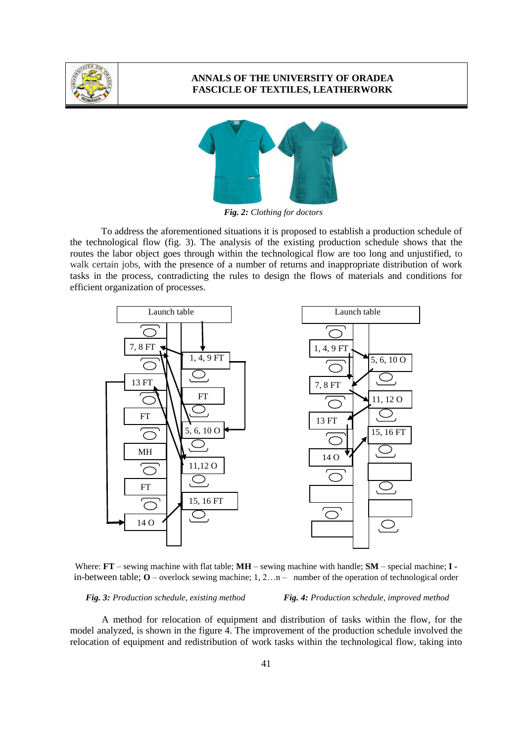

#### **ANNALS OF THE UNIVERSITY OF ORADEA FASCICLE OF TEXTILES, LEATHERWORK**



*Fig. 2: Clothing for doctors*

To address the aforementioned situations it is proposed to establish a production schedule of the technological flow (fig. 3). The analysis of the existing production schedule shows that the routes the labor object goes through within the technological flow are too long and unjustified, to walk certain jobs, with the presence of a number of returns and inappropriate distribution of work tasks in the process, contradicting the rules to design the flows of materials and conditions for efficient organization of processes.



Where: **FT** – sewing machine with flat table; **MH** – sewing machine with handle; **SM** – special machine; **I**  in-between table;  $\mathbf{O}$  – overlock sewing machine; 1, 2... n – number of the operation of technological order

*Fig. 3: Production schedule, existing method Fig. 4: Production schedule, improved method*

A method for relocation of equipment and distribution of tasks within the flow, for the model analyzed, is shown in the figure 4. The improvement of the production schedule involved the relocation of equipment and redistribution of work tasks within the technological flow, taking into